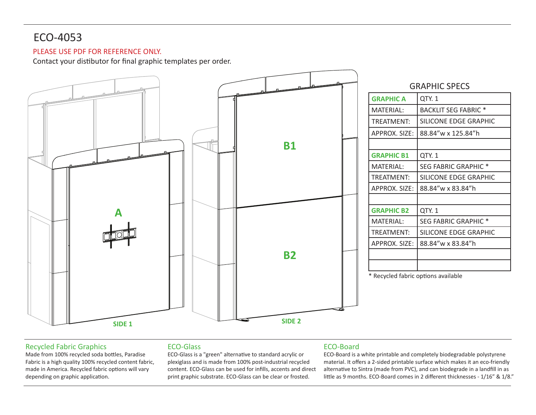# ECO-4053

# PLEASE USE PDF FOR REFERENCE ONLY.

Contact your distibutor for final graphic templates per order.



## Recycled Fabric Graphics

Made from 100% recycled soda bottles, Paradise Fabric is a high quality 100% recycled content fabric, made in America. Recycled fabric options will vary depending on graphic application.

### ECO-Glass

ECO-Glass is a "green" alternative to standard acrylic or plexiglass and is made from 100% post-industrial recycled content. ECO-Glass can be used for infills, accents and direct print graphic substrate. ECO-Glass can be clear or frosted.

## ECO-Board

ECO-Board is a white printable and completely biodegradable polystyrene material. It offers a 2-sided printable surface which makes it an eco-friendly alternative to Sintra (made from PVC), and can biodegrade in a landfill in as little as 9 months. ECO-Board comes in 2 different thicknesses - 1/16" & 1/8."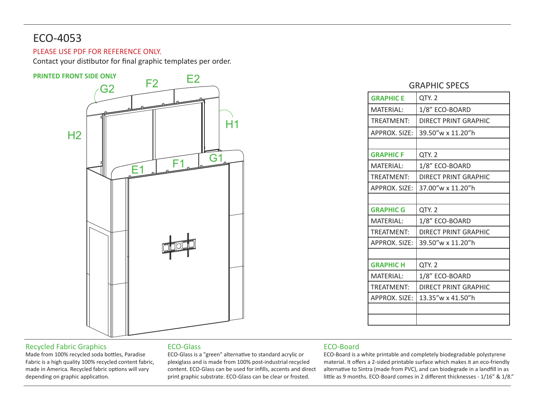# ECO-4053

## PLEASE USE PDF FOR REFERENCE ONLY.

Contact your distibutor for final graphic templates per order.



## Recycled Fabric Graphics

Made from 100% recycled soda bottles, Paradise Fabric is a high quality 100% recycled content fabric, made in America. Recycled fabric options will vary depending on graphic application.

#### ECO-Glass

ECO-Glass is a "green" alternative to standard acrylic or plexiglass and is made from 100% post-industrial recycled content. ECO-Glass can be used for infills, accents and direct print graphic substrate. ECO-Glass can be clear or frosted.

|                   | <b>GRAPHIC SPECS</b> |
|-------------------|----------------------|
| <b>GRAPHIC E</b>  | QTY. 2               |
| <b>MATERIAL:</b>  | 1/8" ECO-BOARD       |
| TREATMENT:        | DIRECT PRINT GRAPHIC |
| APPROX, SIZE:     | 39.50"w x 11.20"h    |
|                   |                      |
| <b>GRAPHIC F</b>  | QTY. 2               |
| MATERIAL:         | 1/8" ECO-BOARD       |
| <b>TREATMENT:</b> | DIRECT PRINT GRAPHIC |
| APPROX, SIZE:     | 37.00"w x 11.20"h    |
|                   |                      |
| <b>GRAPHIC G</b>  | QTY. 2               |
| MATERIAL:         | 1/8" ECO-BOARD       |
| <b>TREATMENT:</b> | DIRECT PRINT GRAPHIC |
| APPROX. SIZE:     | 39.50"w x 11.20"h    |
|                   |                      |
| <b>GRAPHIC H</b>  | QTY. 2               |
| MATERIAL:         | 1/8" ECO-BOARD       |
| <b>TREATMENT:</b> | DIRECT PRINT GRAPHIC |
| APPROX. SIZE:     | 13.35"w x 41.50"h    |
|                   |                      |
|                   |                      |

## ECO-Board

ECO-Board is a white printable and completely biodegradable polystyrene material. It offers a 2-sided printable surface which makes it an eco-friendly alternative to Sintra (made from PVC), and can biodegrade in a landfill in as little as 9 months. ECO-Board comes in 2 different thicknesses - 1/16" & 1/8."